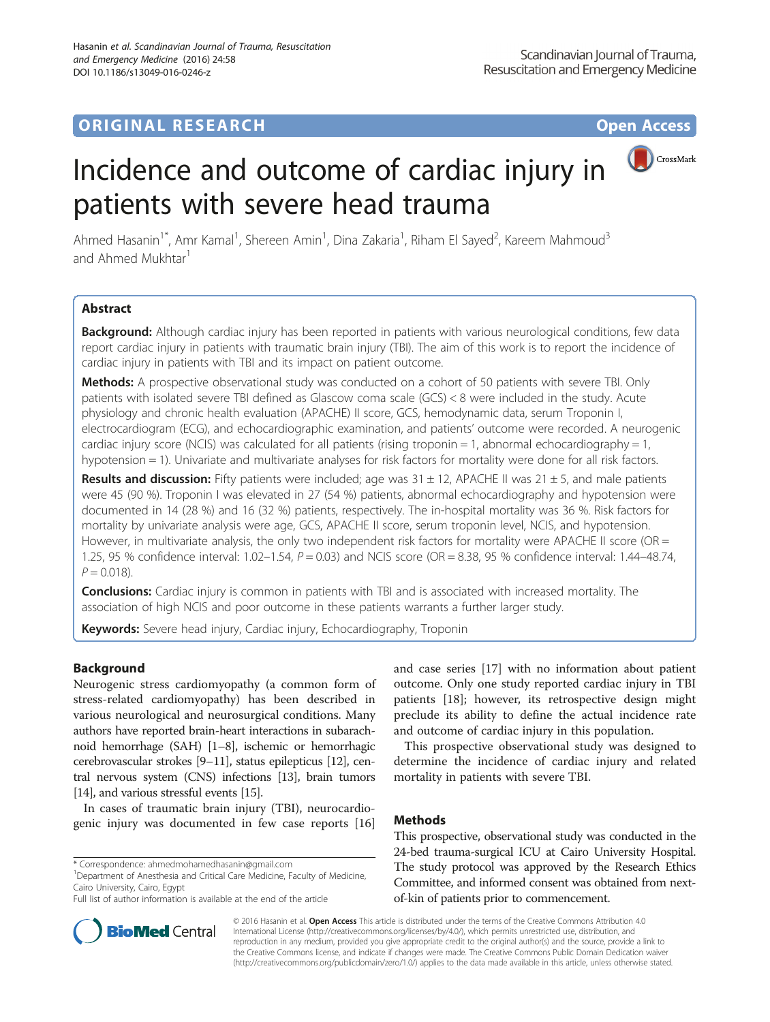# **ORIGINAL RESEARCH CONSUMING ACCESS**



# Incidence and outcome of cardiac injury in patients with severe head trauma

Ahmed Hasanin<sup>1\*</sup>, Amr Kamal<sup>1</sup>, Shereen Amin<sup>1</sup>, Dina Zakaria<sup>1</sup>, Riham El Sayed<sup>2</sup>, Kareem Mahmoud<sup>3</sup> and Ahmed Mukhtar<sup>1</sup>

# Abstract

Background: Although cardiac injury has been reported in patients with various neurological conditions, few data report cardiac injury in patients with traumatic brain injury (TBI). The aim of this work is to report the incidence of cardiac injury in patients with TBI and its impact on patient outcome.

Methods: A prospective observational study was conducted on a cohort of 50 patients with severe TBI. Only patients with isolated severe TBI defined as Glascow coma scale (GCS) < 8 were included in the study. Acute physiology and chronic health evaluation (APACHE) II score, GCS, hemodynamic data, serum Troponin I, electrocardiogram (ECG), and echocardiographic examination, and patients' outcome were recorded. A neurogenic cardiac injury score (NCIS) was calculated for all patients (rising troponin = 1, abnormal echocardiography = 1, hypotension = 1). Univariate and multivariate analyses for risk factors for mortality were done for all risk factors.

**Results and discussion:** Fifty patients were included; age was  $31 \pm 12$ , APACHE II was  $21 \pm 5$ , and male patients were 45 (90 %). Troponin I was elevated in 27 (54 %) patients, abnormal echocardiography and hypotension were documented in 14 (28 %) and 16 (32 %) patients, respectively. The in-hospital mortality was 36 %. Risk factors for mortality by univariate analysis were age, GCS, APACHE II score, serum troponin level, NCIS, and hypotension. However, in multivariate analysis, the only two independent risk factors for mortality were APACHE II score (OR = 1.25, 95 % confidence interval: 1.02–1.54,  $P = 0.03$ ) and NCIS score (OR = 8.38, 95 % confidence interval: 1.44–48.74,  $P = 0.018$ .

**Conclusions:** Cardiac injury is common in patients with TBI and is associated with increased mortality. The association of high NCIS and poor outcome in these patients warrants a further larger study.

Keywords: Severe head injury, Cardiac injury, Echocardiography, Troponin

# Background

Neurogenic stress cardiomyopathy (a common form of stress-related cardiomyopathy) has been described in various neurological and neurosurgical conditions. Many authors have reported brain-heart interactions in subarachnoid hemorrhage (SAH) [[1](#page-5-0)–[8\]](#page-5-0), ischemic or hemorrhagic cerebrovascular strokes [[9](#page-5-0)–[11](#page-5-0)], status epilepticus [[12](#page-5-0)], central nervous system (CNS) infections [[13](#page-5-0)], brain tumors [[14](#page-5-0)], and various stressful events [\[15\]](#page-5-0).

In cases of traumatic brain injury (TBI), neurocardiogenic injury was documented in few case reports [[16](#page-5-0)]

<sup>1</sup>Department of Anesthesia and Critical Care Medicine, Faculty of Medicine, Cairo University, Cairo, Egypt

and case series [[17](#page-5-0)] with no information about patient outcome. Only one study reported cardiac injury in TBI patients [[18\]](#page-5-0); however, its retrospective design might preclude its ability to define the actual incidence rate and outcome of cardiac injury in this population.

This prospective observational study was designed to determine the incidence of cardiac injury and related mortality in patients with severe TBI.

# Methods

This prospective, observational study was conducted in the 24-bed trauma-surgical ICU at Cairo University Hospital. The study protocol was approved by the Research Ethics Committee, and informed consent was obtained from nextof-kin of patients prior to commencement.



© 2016 Hasanin et al. Open Access This article is distributed under the terms of the Creative Commons Attribution 4.0 International License [\(http://creativecommons.org/licenses/by/4.0/](http://creativecommons.org/licenses/by/4.0/)), which permits unrestricted use, distribution, and reproduction in any medium, provided you give appropriate credit to the original author(s) and the source, provide a link to the Creative Commons license, and indicate if changes were made. The Creative Commons Public Domain Dedication waiver [\(http://creativecommons.org/publicdomain/zero/1.0/](http://creativecommons.org/publicdomain/zero/1.0/)) applies to the data made available in this article, unless otherwise stated.

<sup>\*</sup> Correspondence: [ahmedmohamedhasanin@gmail.com](mailto:ahmedmohamedhasanin@gmail.com) <sup>1</sup>

Full list of author information is available at the end of the article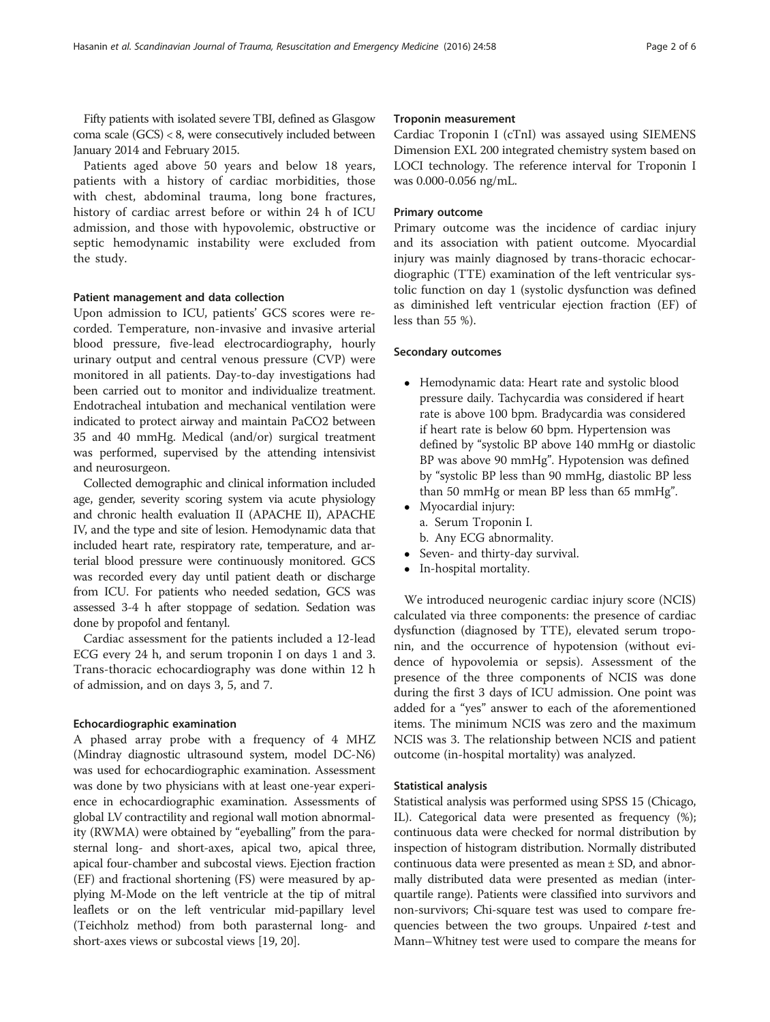Fifty patients with isolated severe TBI, defined as Glasgow coma scale (GCS) < 8, were consecutively included between January 2014 and February 2015.

Patients aged above 50 years and below 18 years, patients with a history of cardiac morbidities, those with chest, abdominal trauma, long bone fractures, history of cardiac arrest before or within 24 h of ICU admission, and those with hypovolemic, obstructive or septic hemodynamic instability were excluded from the study.

# Patient management and data collection

Upon admission to ICU, patients' GCS scores were recorded. Temperature, non-invasive and invasive arterial blood pressure, five-lead electrocardiography, hourly urinary output and central venous pressure (CVP) were monitored in all patients. Day-to-day investigations had been carried out to monitor and individualize treatment. Endotracheal intubation and mechanical ventilation were indicated to protect airway and maintain PaCO2 between 35 and 40 mmHg. Medical (and/or) surgical treatment was performed, supervised by the attending intensivist and neurosurgeon.

Collected demographic and clinical information included age, gender, severity scoring system via acute physiology and chronic health evaluation II (APACHE II), APACHE IV, and the type and site of lesion. Hemodynamic data that included heart rate, respiratory rate, temperature, and arterial blood pressure were continuously monitored. GCS was recorded every day until patient death or discharge from ICU. For patients who needed sedation, GCS was assessed 3-4 h after stoppage of sedation. Sedation was done by propofol and fentanyl.

Cardiac assessment for the patients included a 12-lead ECG every 24 h, and serum troponin I on days 1 and 3. Trans-thoracic echocardiography was done within 12 h of admission, and on days 3, 5, and 7.

#### Echocardiographic examination

A phased array probe with a frequency of 4 MHZ (Mindray diagnostic ultrasound system, model DC-N6) was used for echocardiographic examination. Assessment was done by two physicians with at least one-year experience in echocardiographic examination. Assessments of global LV contractility and regional wall motion abnormality (RWMA) were obtained by "eyeballing" from the parasternal long- and short-axes, apical two, apical three, apical four-chamber and subcostal views. Ejection fraction (EF) and fractional shortening (FS) were measured by applying M-Mode on the left ventricle at the tip of mitral leaflets or on the left ventricular mid-papillary level (Teichholz method) from both parasternal long- and short-axes views or subcostal views [[19](#page-5-0), [20\]](#page-5-0).

# Troponin measurement

Cardiac Troponin I (cTnI) was assayed using SIEMENS Dimension EXL 200 integrated chemistry system based on LOCI technology. The reference interval for Troponin I was 0.000-0.056 ng/mL.

#### Primary outcome

Primary outcome was the incidence of cardiac injury and its association with patient outcome. Myocardial injury was mainly diagnosed by trans-thoracic echocardiographic (TTE) examination of the left ventricular systolic function on day 1 (systolic dysfunction was defined as diminished left ventricular ejection fraction (EF) of less than 55 %).

# Secondary outcomes

- Hemodynamic data: Heart rate and systolic blood pressure daily. Tachycardia was considered if heart rate is above 100 bpm. Bradycardia was considered if heart rate is below 60 bpm. Hypertension was defined by "systolic BP above 140 mmHg or diastolic BP was above 90 mmHg". Hypotension was defined by "systolic BP less than 90 mmHg, diastolic BP less than 50 mmHg or mean BP less than 65 mmHg".
- Myocardial injury:
	- a. Serum Troponin I.
	- b. Any ECG abnormality.
- Seven- and thirty-day survival.
- In-hospital mortality.

We introduced neurogenic cardiac injury score (NCIS) calculated via three components: the presence of cardiac dysfunction (diagnosed by TTE), elevated serum troponin, and the occurrence of hypotension (without evidence of hypovolemia or sepsis). Assessment of the presence of the three components of NCIS was done during the first 3 days of ICU admission. One point was added for a "yes" answer to each of the aforementioned items. The minimum NCIS was zero and the maximum NCIS was 3. The relationship between NCIS and patient outcome (in-hospital mortality) was analyzed.

#### Statistical analysis

Statistical analysis was performed using SPSS 15 (Chicago, IL). Categorical data were presented as frequency (%); continuous data were checked for normal distribution by inspection of histogram distribution. Normally distributed continuous data were presented as mean  $\pm$  SD, and abnormally distributed data were presented as median (interquartile range). Patients were classified into survivors and non-survivors; Chi-square test was used to compare frequencies between the two groups. Unpaired  $t$ -test and Mann–Whitney test were used to compare the means for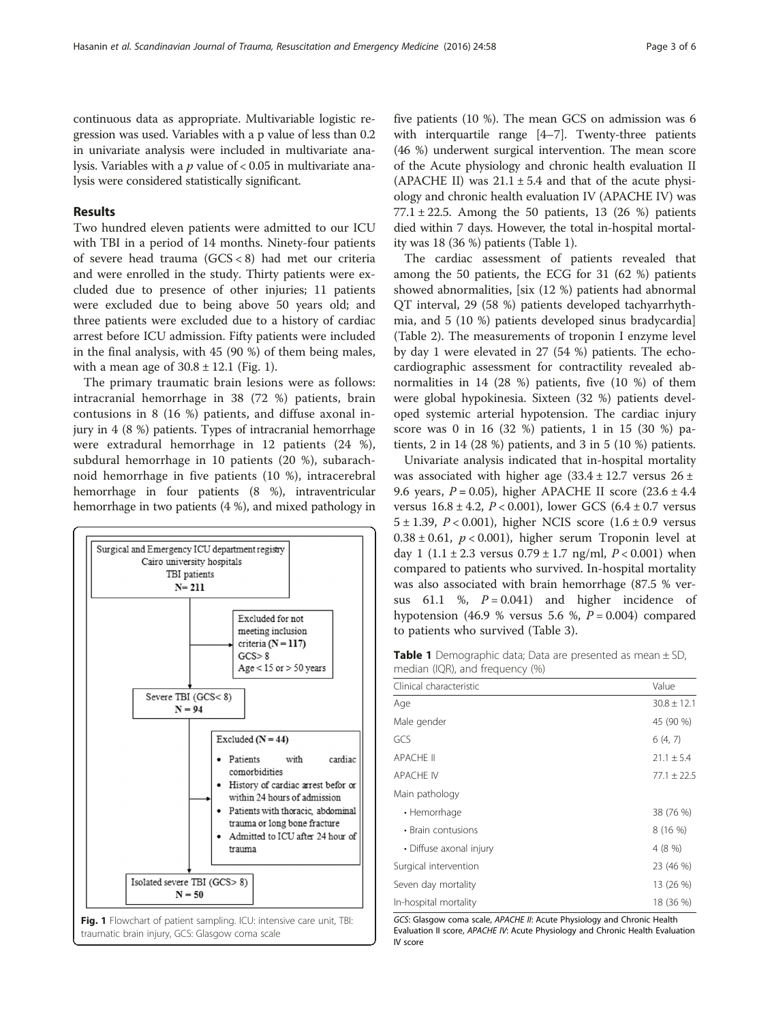continuous data as appropriate. Multivariable logistic regression was used. Variables with a p value of less than 0.2 in univariate analysis were included in multivariate analysis. Variables with a  $p$  value of < 0.05 in multivariate analysis were considered statistically significant.

# Results

Two hundred eleven patients were admitted to our ICU with TBI in a period of 14 months. Ninety-four patients of severe head trauma (GCS < 8) had met our criteria and were enrolled in the study. Thirty patients were excluded due to presence of other injuries; 11 patients were excluded due to being above 50 years old; and three patients were excluded due to a history of cardiac arrest before ICU admission. Fifty patients were included in the final analysis, with 45 (90 %) of them being males, with a mean age of  $30.8 \pm 12.1$  (Fig. 1).

The primary traumatic brain lesions were as follows: intracranial hemorrhage in 38 (72 %) patients, brain contusions in 8 (16 %) patients, and diffuse axonal injury in 4 (8 %) patients. Types of intracranial hemorrhage were extradural hemorrhage in 12 patients (24 %), subdural hemorrhage in 10 patients (20 %), subarachnoid hemorrhage in five patients (10 %), intracerebral hemorrhage in four patients (8 %), intraventricular hemorrhage in two patients (4 %), and mixed pathology in



five patients (10 %). The mean GCS on admission was 6 with interquartile range [\[4](#page-5-0)–[7](#page-5-0)]. Twenty-three patients (46 %) underwent surgical intervention. The mean score of the Acute physiology and chronic health evaluation II (APACHE II) was  $21.1 \pm 5.4$  and that of the acute physiology and chronic health evaluation IV (APACHE IV) was 77.1  $\pm$  22.5. Among the 50 patients, 13 (26 %) patients died within 7 days. However, the total in-hospital mortality was 18 (36 %) patients (Table 1).

The cardiac assessment of patients revealed that among the 50 patients, the ECG for 31 (62 %) patients showed abnormalities, [six (12 %) patients had abnormal QT interval, 29 (58 %) patients developed tachyarrhythmia, and 5 (10 %) patients developed sinus bradycardia] (Table [2](#page-3-0)). The measurements of troponin I enzyme level by day 1 were elevated in 27 (54 %) patients. The echocardiographic assessment for contractility revealed abnormalities in 14 (28 %) patients, five (10 %) of them were global hypokinesia. Sixteen (32 %) patients developed systemic arterial hypotension. The cardiac injury score was 0 in 16 (32 %) patients, 1 in 15 (30 %) patients, 2 in 14 (28 %) patients, and 3 in 5 (10 %) patients.

Univariate analysis indicated that in-hospital mortality was associated with higher age  $(33.4 \pm 12.7 \text{ versus } 26 \pm \text{)}$ 9.6 years,  $P = 0.05$ ), higher APACHE II score  $(23.6 \pm 4.4)$ versus  $16.8 \pm 4.2$ ,  $P < 0.001$ ), lower GCS  $(6.4 \pm 0.7 \text{ versus}$ 5 ± 1.39,  $P < 0.001$ ), higher NCIS score (1.6 ± 0.9 versus  $0.38 \pm 0.61$ ,  $p < 0.001$ ), higher serum Troponin level at day 1 (1.1 ± 2.3 versus  $0.79 \pm 1.7$  ng/ml,  $P < 0.001$ ) when compared to patients who survived. In-hospital mortality was also associated with brain hemorrhage (87.5 % versus 61.1 %,  $P = 0.041$  and higher incidence of hypotension (46.9 % versus 5.6 %,  $P = 0.004$ ) compared to patients who survived (Table [3\)](#page-3-0).

**Table 1** Demographic data; Data are presented as mean  $\pm$  SD, median (IQR), and frequency (%)

| $\frac{1}{2}$           |                 |  |  |
|-------------------------|-----------------|--|--|
| Clinical characteristic | Value           |  |  |
| Age                     | $30.8 \pm 12.1$ |  |  |
| Male gender             | 45 (90 %)       |  |  |
| GCS                     | 6 (4, 7)        |  |  |
| <b>APACHE II</b>        | $21.1 \pm 5.4$  |  |  |
| <b>APACHE IV</b>        | $77.1 \pm 22.5$ |  |  |
| Main pathology          |                 |  |  |
| • Hemorrhage            | 38 (76 %)       |  |  |
| • Brain contusions      | 8 (16 %)        |  |  |
| • Diffuse axonal injury | 4 (8 %)         |  |  |
| Surgical intervention   | 23 (46 %)       |  |  |
| Seven day mortality     | 13 (26 %)       |  |  |
| In-hospital mortality   | 18 (36 %)       |  |  |

GCS: Glasgow coma scale, APACHE II: Acute Physiology and Chronic Health Evaluation II score, APACHE IV: Acute Physiology and Chronic Health Evaluation IV score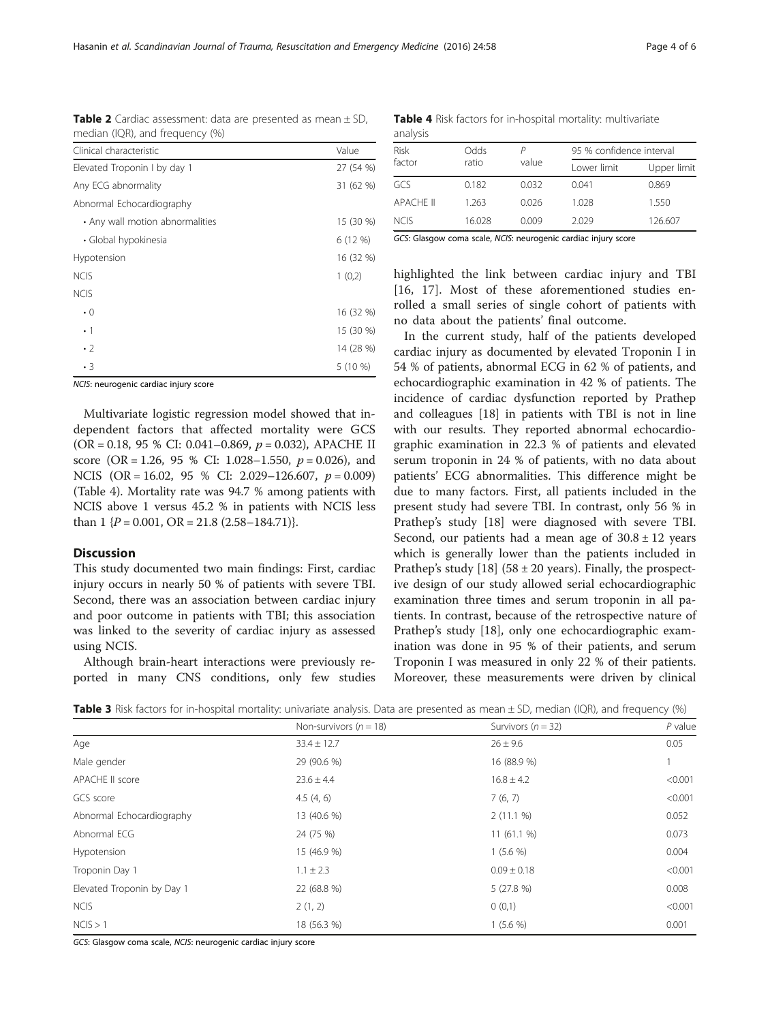NCIS: neurogenic cardiac injury score

median (IQR), and frequency (%)

Abnormal Echocardiography

NCIS

Multivariate logistic regression model showed that independent factors that affected mortality were GCS (OR = 0.18, 95 % CI: 0.041–0.869,  $p = 0.032$ ), APACHE II score (OR = 1.26, 95 % CI: 1.028–1.550,  $p = 0.026$ ), and NCIS (OR = 16.02, 95 % CI: 2.029–126.607,  $p = 0.009$ ) (Table 4). Mortality rate was 94.7 % among patients with NCIS above 1 versus 45.2 % in patients with NCIS less than  $1$  { $P = 0.001$ ,  $OR = 21.8$  (2.58-184.71)}.

<span id="page-3-0"></span>**Table 2** Cardiac assessment: data are presented as mean  $\pm$  SD,

Clinical characteristic Value Elevated Troponin I by day 1 27 (54 %) Any ECG abnormality 31 (62 %)

• Any wall motion abnormalities 15 (30 %) • Global hypokinesia 6 (12 %) Hypotension 16 (32 %) NCIS 1 (0,2)

 $\cdot$  0  $\cdot$  16 (32 %) • 1  $15 (30 \%)$  $\bullet$  2 14 (28 %) • 3  $5(10\%)$ 

# Discussion

This study documented two main findings: First, cardiac injury occurs in nearly 50 % of patients with severe TBI. Second, there was an association between cardiac injury and poor outcome in patients with TBI; this association was linked to the severity of cardiac injury as assessed using NCIS.

Although brain-heart interactions were previously reported in many CNS conditions, only few studies

Table 4 Risk factors for in-hospital mortality: multivariate analysis

| <b>Risk</b> | Odds   |       |             |                          |  |
|-------------|--------|-------|-------------|--------------------------|--|
| factor      | ratio  | value |             | 95 % confidence interval |  |
|             |        |       | Lower limit | Upper limit              |  |
| GCS         | 0.182  | 0.032 | 0.041       | 0.869                    |  |
| APACHE II   | 1.263  | 0.026 | 1.028       | 1.550                    |  |
| <b>NCIS</b> | 16.028 | 0.009 | 2.029       | 126,607                  |  |

GCS: Glasgow coma scale, NCIS: neurogenic cardiac injury score

highlighted the link between cardiac injury and TBI [[16, 17](#page-5-0)]. Most of these aforementioned studies enrolled a small series of single cohort of patients with no data about the patients' final outcome.

In the current study, half of the patients developed cardiac injury as documented by elevated Troponin I in 54 % of patients, abnormal ECG in 62 % of patients, and echocardiographic examination in 42 % of patients. The incidence of cardiac dysfunction reported by Prathep and colleagues [[18](#page-5-0)] in patients with TBI is not in line with our results. They reported abnormal echocardiographic examination in 22.3 % of patients and elevated serum troponin in 24 % of patients, with no data about patients' ECG abnormalities. This difference might be due to many factors. First, all patients included in the present study had severe TBI. In contrast, only 56 % in Prathep's study [[18](#page-5-0)] were diagnosed with severe TBI. Second, our patients had a mean age of  $30.8 \pm 12$  years which is generally lower than the patients included in Prathep's study [\[18](#page-5-0)] (58  $\pm$  20 years). Finally, the prospective design of our study allowed serial echocardiographic examination three times and serum troponin in all patients. In contrast, because of the retrospective nature of Prathep's study [[18](#page-5-0)], only one echocardiographic examination was done in 95 % of their patients, and serum Troponin I was measured in only 22 % of their patients. Moreover, these measurements were driven by clinical

Table 3 Risk factors for in-hospital mortality: univariate analysis. Data are presented as mean  $\pm$  SD, median (IQR), and frequency (%)

|                            | Non-survivors ( $n = 18$ ) | Survivors ( $n = 32$ ) | $P$ value |
|----------------------------|----------------------------|------------------------|-----------|
| Age                        | $33.4 \pm 12.7$            | $26 \pm 9.6$           | 0.05      |
| Male gender                | 29 (90.6 %)                | 16 (88.9 %)            |           |
| APACHE II score            | $23.6 \pm 4.4$             | $16.8 \pm 4.2$         | < 0.001   |
| GCS score                  | 4.5(4, 6)                  | 7(6, 7)                | < 0.001   |
| Abnormal Echocardiography  | 13 (40.6 %)                | 2(11.1 %)              | 0.052     |
| Abnormal ECG               | 24 (75 %)                  | $11(61.1\%)$           | 0.073     |
| Hypotension                | 15 (46.9 %)                | $1(5.6\%)$             | 0.004     |
| Troponin Day 1             | $1.1 \pm 2.3$              | $0.09 \pm 0.18$        | < 0.001   |
| Elevated Troponin by Day 1 | 22 (68.8 %)                | 5(27.8%)               | 0.008     |
| <b>NCIS</b>                | 2(1, 2)                    | 0(0,1)                 | < 0.001   |
| NCIS > 1                   | 18 (56.3 %)                | $1(5.6\%)$             | 0.001     |

GCS: Glasgow coma scale, NCIS: neurogenic cardiac injury score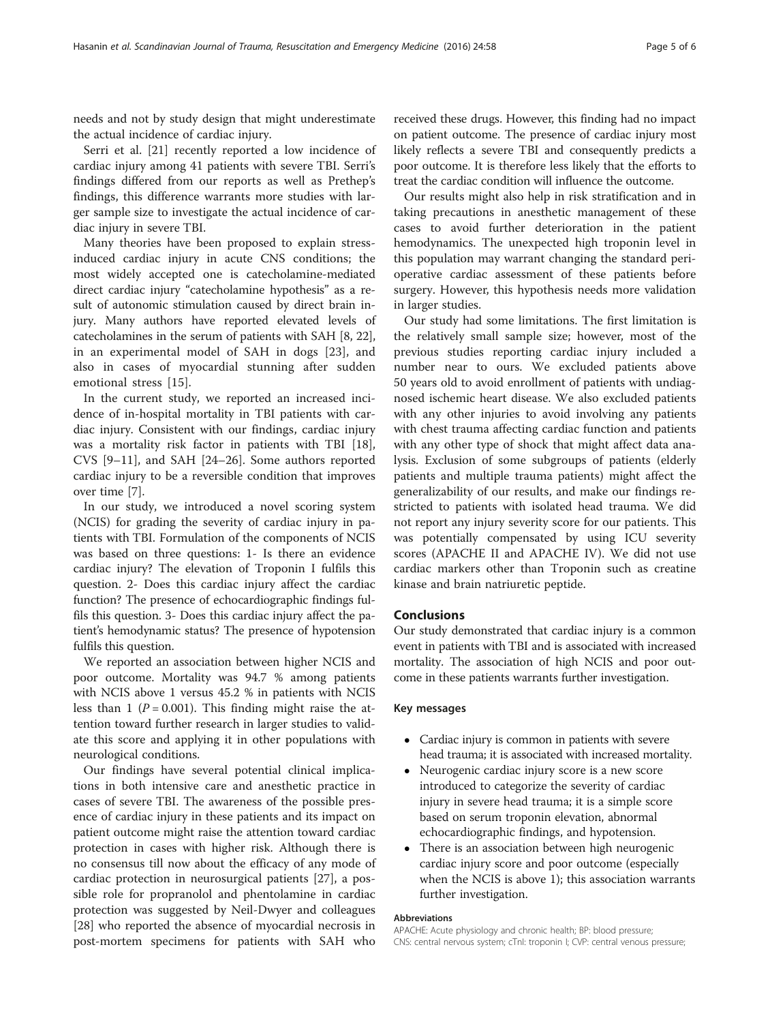needs and not by study design that might underestimate the actual incidence of cardiac injury.

Serri et al. [\[21](#page-5-0)] recently reported a low incidence of cardiac injury among 41 patients with severe TBI. Serri's findings differed from our reports as well as Prethep's findings, this difference warrants more studies with larger sample size to investigate the actual incidence of cardiac injury in severe TBI.

Many theories have been proposed to explain stressinduced cardiac injury in acute CNS conditions; the most widely accepted one is catecholamine-mediated direct cardiac injury "catecholamine hypothesis" as a result of autonomic stimulation caused by direct brain injury. Many authors have reported elevated levels of catecholamines in the serum of patients with SAH [[8, 22](#page-5-0)], in an experimental model of SAH in dogs [[23\]](#page-5-0), and also in cases of myocardial stunning after sudden emotional stress [[15\]](#page-5-0).

In the current study, we reported an increased incidence of in-hospital mortality in TBI patients with cardiac injury. Consistent with our findings, cardiac injury was a mortality risk factor in patients with TBI [\[18](#page-5-0)], CVS [[9](#page-5-0)–[11](#page-5-0)], and SAH [[24](#page-5-0)–[26](#page-5-0)]. Some authors reported cardiac injury to be a reversible condition that improves over time [[7\]](#page-5-0).

In our study, we introduced a novel scoring system (NCIS) for grading the severity of cardiac injury in patients with TBI. Formulation of the components of NCIS was based on three questions: 1- Is there an evidence cardiac injury? The elevation of Troponin I fulfils this question. 2- Does this cardiac injury affect the cardiac function? The presence of echocardiographic findings fulfils this question. 3- Does this cardiac injury affect the patient's hemodynamic status? The presence of hypotension fulfils this question.

We reported an association between higher NCIS and poor outcome. Mortality was 94.7 % among patients with NCIS above 1 versus 45.2 % in patients with NCIS less than 1 ( $P = 0.001$ ). This finding might raise the attention toward further research in larger studies to validate this score and applying it in other populations with neurological conditions.

Our findings have several potential clinical implications in both intensive care and anesthetic practice in cases of severe TBI. The awareness of the possible presence of cardiac injury in these patients and its impact on patient outcome might raise the attention toward cardiac protection in cases with higher risk. Although there is no consensus till now about the efficacy of any mode of cardiac protection in neurosurgical patients [[27](#page-5-0)], a possible role for propranolol and phentolamine in cardiac protection was suggested by Neil-Dwyer and colleagues [[28\]](#page-5-0) who reported the absence of myocardial necrosis in post-mortem specimens for patients with SAH who

received these drugs. However, this finding had no impact on patient outcome. The presence of cardiac injury most likely reflects a severe TBI and consequently predicts a poor outcome. It is therefore less likely that the efforts to treat the cardiac condition will influence the outcome.

Our results might also help in risk stratification and in taking precautions in anesthetic management of these cases to avoid further deterioration in the patient hemodynamics. The unexpected high troponin level in this population may warrant changing the standard perioperative cardiac assessment of these patients before surgery. However, this hypothesis needs more validation in larger studies.

Our study had some limitations. The first limitation is the relatively small sample size; however, most of the previous studies reporting cardiac injury included a number near to ours. We excluded patients above 50 years old to avoid enrollment of patients with undiagnosed ischemic heart disease. We also excluded patients with any other injuries to avoid involving any patients with chest trauma affecting cardiac function and patients with any other type of shock that might affect data analysis. Exclusion of some subgroups of patients (elderly patients and multiple trauma patients) might affect the generalizability of our results, and make our findings restricted to patients with isolated head trauma. We did not report any injury severity score for our patients. This was potentially compensated by using ICU severity scores (APACHE II and APACHE IV). We did not use cardiac markers other than Troponin such as creatine kinase and brain natriuretic peptide.

# **Conclusions**

Our study demonstrated that cardiac injury is a common event in patients with TBI and is associated with increased mortality. The association of high NCIS and poor outcome in these patients warrants further investigation.

## Key messages

- Cardiac injury is common in patients with severe head trauma; it is associated with increased mortality.
- Neurogenic cardiac injury score is a new score introduced to categorize the severity of cardiac injury in severe head trauma; it is a simple score based on serum troponin elevation, abnormal echocardiographic findings, and hypotension.
- There is an association between high neurogenic cardiac injury score and poor outcome (especially when the NCIS is above 1); this association warrants further investigation.

#### Abbreviations

APACHE: Acute physiology and chronic health; BP: blood pressure; CNS: central nervous system; cTnI: troponin I; CVP: central venous pressure;